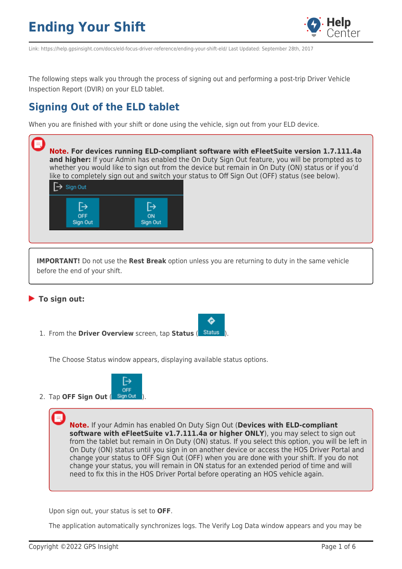

Link: https://help.gpsinsight.com/docs/eld-focus-driver-reference/ending-your-shift-eld/ Last Updated: September 28th, 2017

The following steps walk you through the process of signing out and performing a post-trip Driver Vehicle Inspection Report (DVIR) on your ELD tablet.

### **Signing Out of the ELD tablet**

When you are finished with your shift or done using the vehicle, sign out from your ELD device.



**To sign out:**

1. From the **Driver Overview** screen, tap **Status** ( ).

The Choose Status window appears, displaying available status options.



2. Tap OFF Sign Out (Sign Out

**Note.** If your Admin has enabled On Duty Sign Out (**Devices with ELD-compliant software with eFleetSuite v1.7.111.4a or higher ONLY**), you may select to sign out from the tablet but remain in On Duty (ON) status. If you select this option, you will be left in On Duty (ON) status until you sign in on another device or access the HOS Driver Portal and change your status to OFF Sign Out (OFF) when you are done with your shift. If you do not change your status, you will remain in ON status for an extended period of time and will need to fix this in the HOS Driver Portal before operating an HOS vehicle again.

O

Upon sign out, your status is set to **OFF**.

The application automatically synchronizes logs. The Verify Log Data window appears and you may be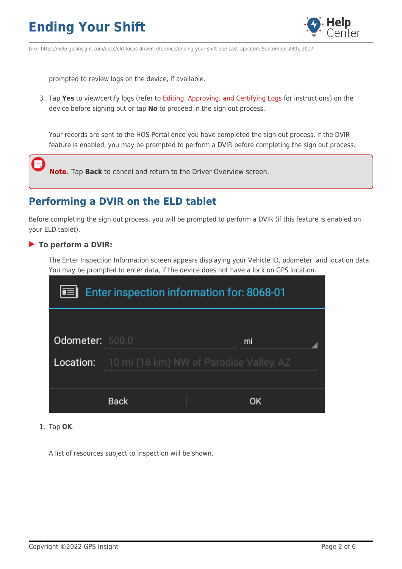

Link: https://help.gpsinsight.com/docs/eld-focus-driver-reference/ending-your-shift-eld/ Last Updated: September 28th, 2017

prompted to review logs on the device, if available.

3. Tap **Yes** to view/certify logs (refer to [Editing, Approving, and Certifying Logs](https://help.gpsinsight.com/docs/eld-driver-reference/editing-approving-and-certifying-logs/) for instructions) on the device before signing out or tap **No** to proceed in the sign out process.

Your records are sent to the HOS Portal once you have completed the sign out process. If the DVIR feature is enabled, you may be prompted to perform a DVIR before completing the sign out process.

**Note.** Tap **Back** to cancel and return to the Driver Overview screen.

### **Performing a DVIR on the ELD tablet**

Before completing the sign out process, you will be prompted to perform a DVIR (if this feature is enabled on your ELD tablet).

#### **To perform a DVIR:**

The Enter Inspection Information screen appears displaying your Vehicle ID, odometer, and location data. You may be prompted to enter data, if the device does not have a lock on GPS location.

| <b>Enter inspection information for: 8068-01</b><br>l El |                                                          |    |  |
|----------------------------------------------------------|----------------------------------------------------------|----|--|
| Odometer: 500.0                                          |                                                          | mi |  |
|                                                          | <b>Location:</b> 10 mi (16 km) NW of Paradise Valley, AZ |    |  |
|                                                          | <b>Back</b>                                              | OK |  |

1. Tap **OK**.

A list of resources subject to inspection will be shown.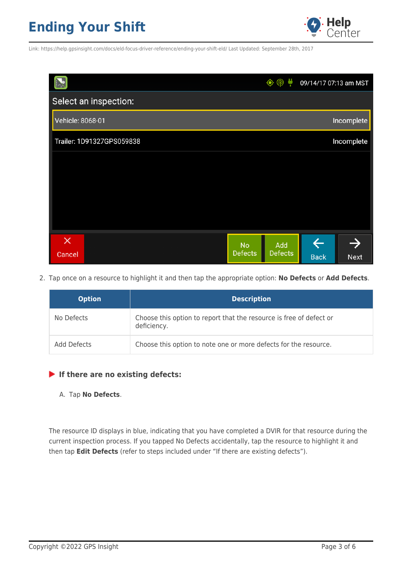

Link: https://help.gpsinsight.com/docs/eld-focus-driver-reference/ending-your-shift-eld/ Last Updated: September 28th, 2017

|                           |                                  | 09/14/17 07:13 am MST |             |
|---------------------------|----------------------------------|-----------------------|-------------|
| Select an inspection:     |                                  |                       |             |
| Vehicle: 8068-01          |                                  |                       | Incomplete  |
| Trailer: 1D91327GPS059838 |                                  |                       | Incomplete  |
|                           |                                  |                       |             |
|                           |                                  |                       |             |
|                           |                                  |                       |             |
|                           |                                  |                       |             |
| $\times$                  | Add<br><b>No</b>                 | <b>LE</b>             |             |
| Cancel                    | <b>Defects</b><br><b>Defects</b> | <b>Back</b>           | <b>Next</b> |

2. Tap once on a resource to highlight it and then tap the appropriate option: **No Defects** or **Add Defects**.

| <b>Option</b> | <b>Description</b>                                                                 |
|---------------|------------------------------------------------------------------------------------|
| No Defects    | Choose this option to report that the resource is free of defect or<br>deficiency. |
| Add Defects   | Choose this option to note one or more defects for the resource.                   |

#### **If there are no existing defects:**

#### A. Tap **No Defects**.

The resource ID displays in blue, indicating that you have completed a DVIR for that resource during the current inspection process. If you tapped No Defects accidentally, tap the resource to highlight it and then tap **Edit Defects** (refer to steps included under "If there are existing defects").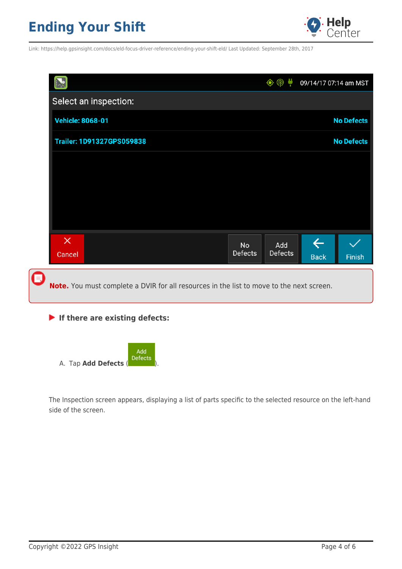

Link: https://help.gpsinsight.com/docs/eld-focus-driver-reference/ending-your-shift-eld/ Last Updated: September 28th, 2017

|                                                                                          |                      | $\circledR$    | 09/14/17 07:14 am MST       |                   |
|------------------------------------------------------------------------------------------|----------------------|----------------|-----------------------------|-------------------|
| Select an inspection:                                                                    |                      |                |                             |                   |
| <b>Vehicle: 8068-01</b>                                                                  |                      |                |                             | <b>No Defects</b> |
| <b>Trailer: 1D91327GPS059838</b>                                                         |                      |                |                             | <b>No Defects</b> |
|                                                                                          |                      |                |                             |                   |
|                                                                                          |                      |                |                             |                   |
|                                                                                          |                      |                |                             |                   |
|                                                                                          |                      |                |                             |                   |
| $\times$<br>Cancel                                                                       | <b>No</b><br>Defects | Add<br>Defects | $\leftarrow$<br><b>Back</b> | Finish            |
| Note. You must complete a DVIR for all resources in the list to move to the next screen. |                      |                |                             |                   |

### **If there are existing defects:**

|                      | Add<br>Defects |
|----------------------|----------------|
| A. Tap Add Defects ( |                |

The Inspection screen appears, displaying a list of parts specific to the selected resource on the left-hand side of the screen.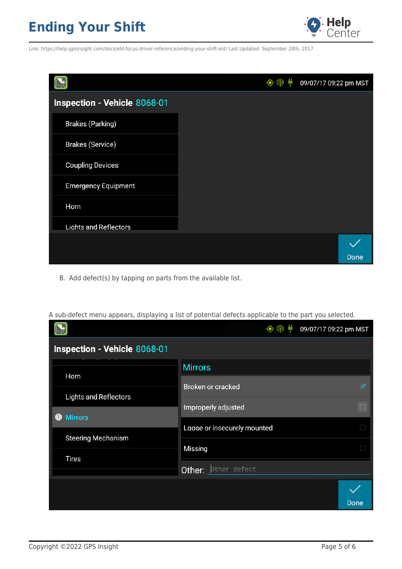

Link: https://help.gpsinsight.com/docs/eld-focus-driver-reference/ending-your-shift-eld/ Last Updated: September 28th, 2017

|                              |  | 09/07/17 09:22 pm MST |
|------------------------------|--|-----------------------|
| Inspection - Vehicle 8068-01 |  |                       |
| <b>Brakes (Parking)</b>      |  |                       |
| <b>Brakes (Service)</b>      |  |                       |
| <b>Coupling Devices</b>      |  |                       |
| <b>Emergency Equipment</b>   |  |                       |
| Horn                         |  |                       |
| <b>Lights and Reflectors</b> |  |                       |
|                              |  |                       |
|                              |  | Done                  |

B. Add defect(s) by tapping on parts from the available list.

A sub-defect menu appears, displaying a list of potential defects applicable to the part you selected. $\bullet$   $\circ$ U 09/07/17 09:22 pm MST Inspection - Vehicle 8068-01 **Mirrors** Horn Broken or cracked **Lights and Reflectors** Improperly adjusted **O** Mirrors Loose or insecurely mounted **Steering Mechanism** Missing **Tires** Other: **bther** defect Done